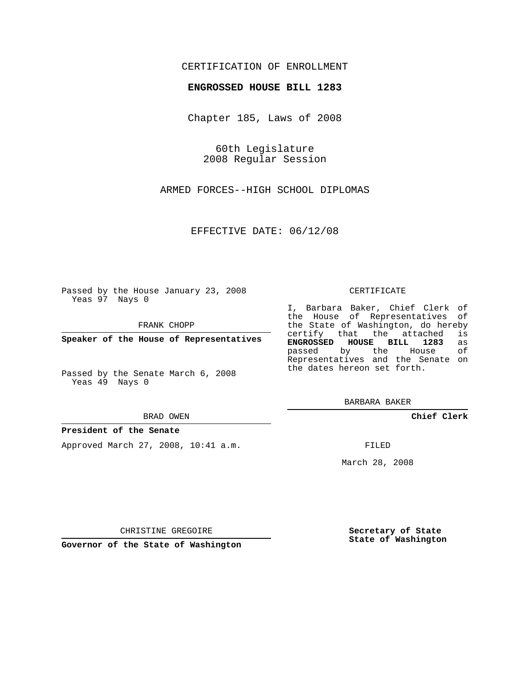# CERTIFICATION OF ENROLLMENT

## **ENGROSSED HOUSE BILL 1283**

Chapter 185, Laws of 2008

60th Legislature 2008 Regular Session

ARMED FORCES--HIGH SCHOOL DIPLOMAS

EFFECTIVE DATE: 06/12/08

Passed by the House January 23, 2008 Yeas 97 Nays 0

FRANK CHOPP

**Speaker of the House of Representatives**

Passed by the Senate March 6, 2008 Yeas 49 Nays 0

#### BRAD OWEN

### **President of the Senate**

Approved March 27, 2008, 10:41 a.m.

#### CERTIFICATE

I, Barbara Baker, Chief Clerk of the House of Representatives of the State of Washington, do hereby<br>certify that the attached is certify that the attached **ENGROSSED HOUSE BILL 1283** as passed by the House Representatives and the Senate on the dates hereon set forth.

BARBARA BAKER

**Chief Clerk**

FILED

March 28, 2008

CHRISTINE GREGOIRE

**Governor of the State of Washington**

**Secretary of State State of Washington**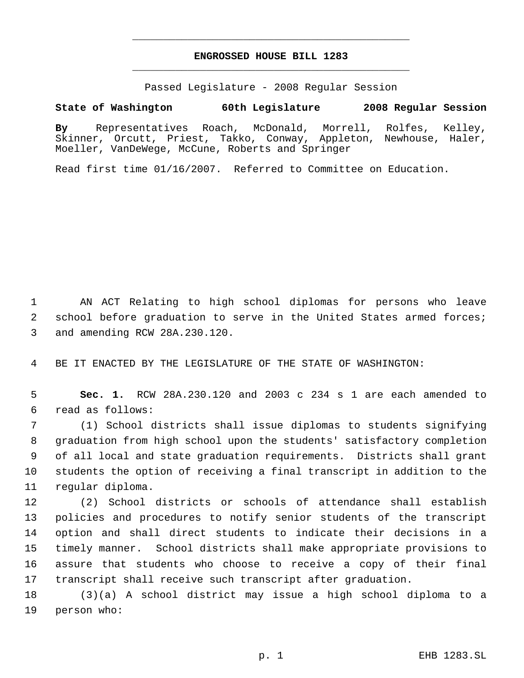# **ENGROSSED HOUSE BILL 1283** \_\_\_\_\_\_\_\_\_\_\_\_\_\_\_\_\_\_\_\_\_\_\_\_\_\_\_\_\_\_\_\_\_\_\_\_\_\_\_\_\_\_\_\_\_

\_\_\_\_\_\_\_\_\_\_\_\_\_\_\_\_\_\_\_\_\_\_\_\_\_\_\_\_\_\_\_\_\_\_\_\_\_\_\_\_\_\_\_\_\_

Passed Legislature - 2008 Regular Session

# **State of Washington 60th Legislature 2008 Regular Session**

**By** Representatives Roach, McDonald, Morrell, Rolfes, Kelley, Skinner, Orcutt, Priest, Takko, Conway, Appleton, Newhouse, Haler, Moeller, VanDeWege, McCune, Roberts and Springer

Read first time 01/16/2007. Referred to Committee on Education.

 AN ACT Relating to high school diplomas for persons who leave 2 school before graduation to serve in the United States armed forces; and amending RCW 28A.230.120.

BE IT ENACTED BY THE LEGISLATURE OF THE STATE OF WASHINGTON:

 **Sec. 1.** RCW 28A.230.120 and 2003 c 234 s 1 are each amended to read as follows:

 (1) School districts shall issue diplomas to students signifying graduation from high school upon the students' satisfactory completion of all local and state graduation requirements. Districts shall grant students the option of receiving a final transcript in addition to the regular diploma.

 (2) School districts or schools of attendance shall establish policies and procedures to notify senior students of the transcript option and shall direct students to indicate their decisions in a timely manner. School districts shall make appropriate provisions to assure that students who choose to receive a copy of their final transcript shall receive such transcript after graduation.

 (3)(a) A school district may issue a high school diploma to a person who: